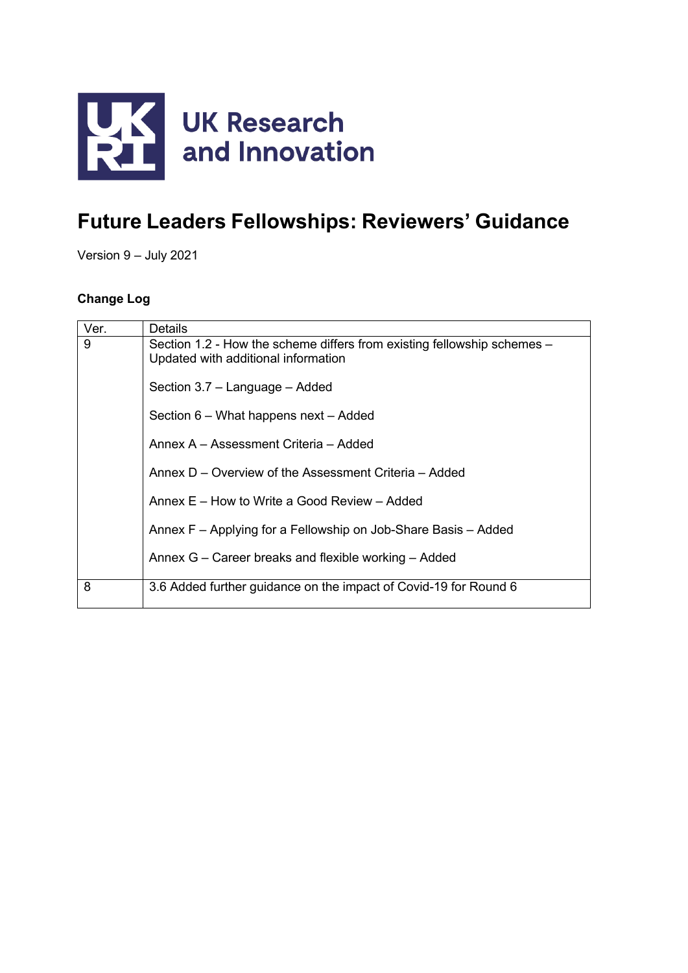

# **Future Leaders Fellowships: Reviewers' Guidance**

Version 9 – July 2021

### **Change Log**

| Ver. | <b>Details</b>                                                                                                 |
|------|----------------------------------------------------------------------------------------------------------------|
| 9    | Section 1.2 - How the scheme differs from existing fellowship schemes –<br>Updated with additional information |
|      | Section 3.7 - Language - Added                                                                                 |
|      | Section 6 – What happens next – Added                                                                          |
|      | Annex A - Assessment Criteria - Added                                                                          |
|      | Annex D – Overview of the Assessment Criteria – Added                                                          |
|      | Annex E – How to Write a Good Review – Added                                                                   |
|      | Annex F - Applying for a Fellowship on Job-Share Basis - Added                                                 |
|      | Annex G – Career breaks and flexible working – Added                                                           |
| 8    | 3.6 Added further guidance on the impact of Covid-19 for Round 6                                               |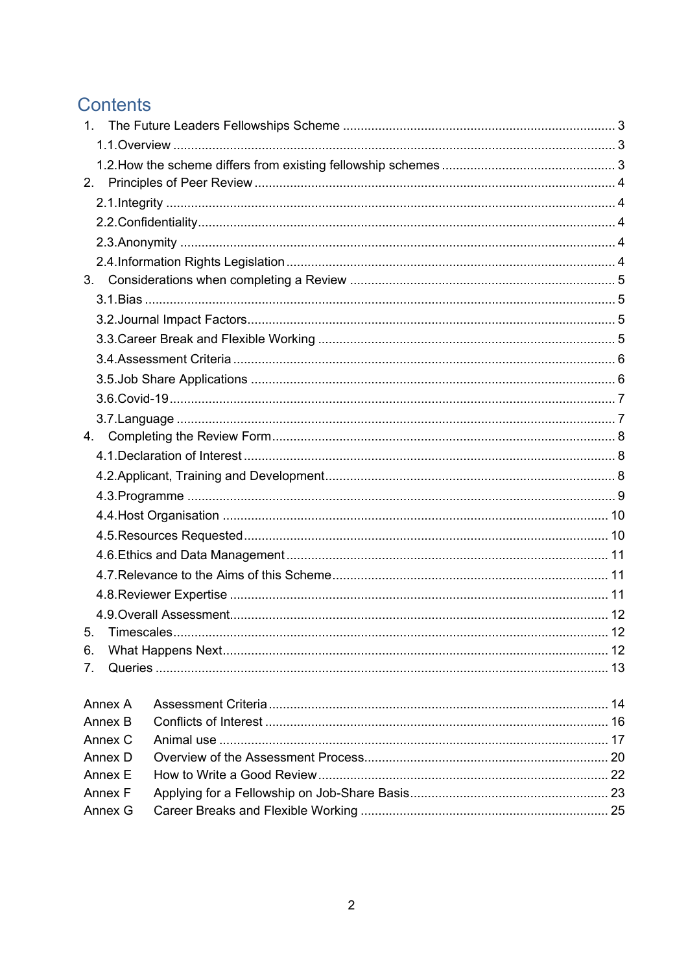# Contents

| 2.                           |           |  |
|------------------------------|-----------|--|
|                              |           |  |
|                              |           |  |
|                              |           |  |
|                              |           |  |
| 3.                           |           |  |
|                              |           |  |
|                              |           |  |
|                              |           |  |
|                              |           |  |
|                              |           |  |
|                              |           |  |
|                              |           |  |
|                              |           |  |
|                              |           |  |
|                              |           |  |
|                              |           |  |
|                              |           |  |
|                              |           |  |
|                              |           |  |
|                              |           |  |
|                              |           |  |
|                              |           |  |
| 5 <sub>1</sub><br>Timescales | $\sim$ 12 |  |
| 6.                           |           |  |
| 7.                           |           |  |
| Annex A                      |           |  |
| Annex B                      |           |  |
| Annex C                      |           |  |
| Annex D                      |           |  |
| Annex E                      |           |  |
| Annex F                      |           |  |
| Annex G                      |           |  |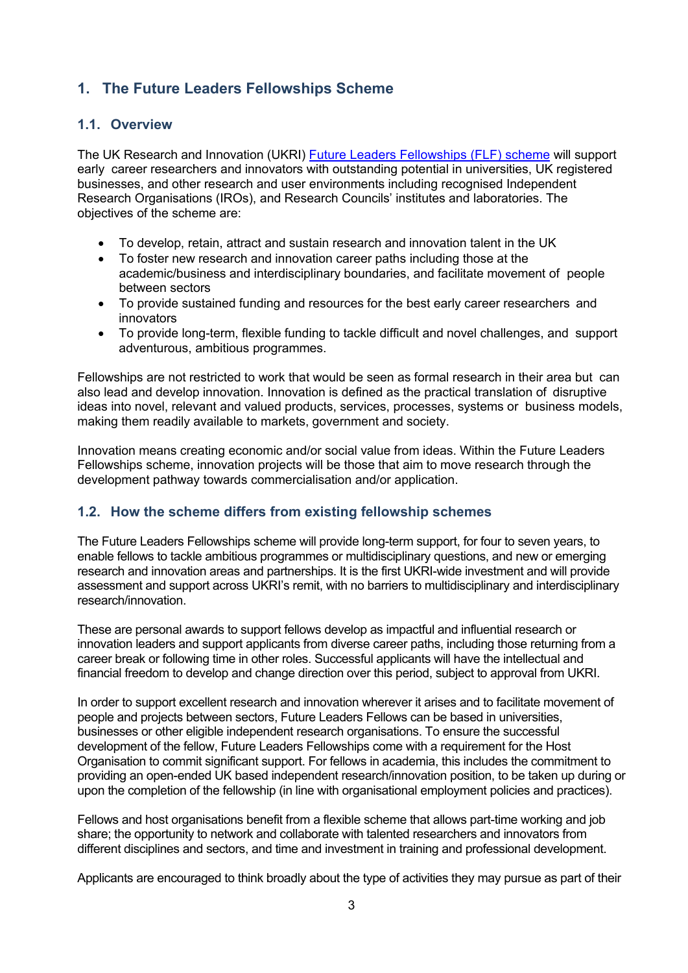# <span id="page-2-0"></span>**1. The Future Leaders Fellowships Scheme**

### <span id="page-2-1"></span>**1.1. Overview**

The UK Research and Innovati[on](https://www.ukri.org/files/funding/flf-overview-of-the-scheme/) (UKRI) [Future Leaders Fellowships](https://www.ukri.org/our-work/developing-people-and-skills/future-leaders-fellowships/what-are-future-leaders-fellowships/) (FLF) scheme will support early career researchers and innovators with outstanding potential in universities, UK registered businesses, and other research and user environments including recognised Independent Research Organisations (IROs), and Research Councils' institutes and laboratories. The objectives of the scheme are:

- To develop, retain, attract and sustain research and innovation talent in the UK
- To foster new research and innovation career paths including those at the academic/business and interdisciplinary boundaries, and facilitate movement of people between sectors
- To provide sustained funding and resources for the best early career researchers and innovators
- To provide long-term, flexible funding to tackle difficult and novel challenges, and support adventurous, ambitious programmes.

Fellowships are not restricted to work that would be seen as formal research in their area but can also lead and develop innovation. Innovation is defined as the practical translation of disruptive ideas into novel, relevant and valued products, services, processes, systems or business models, making them readily available to markets, government and society.

Innovation means creating economic and/or social value from ideas. Within the Future Leaders Fellowships scheme, innovation projects will be those that aim to move research through the development pathway towards commercialisation and/or application.

# <span id="page-2-2"></span>**1.2. How the scheme differs from existing fellowship schemes**

The Future Leaders Fellowships scheme will provide long-term support, for four to seven years, to enable fellows to tackle ambitious programmes or multidisciplinary questions, and new or emerging research and innovation areas and partnerships. It is the first UKRI-wide investment and will provide assessment and support across UKRI's remit, with no barriers to multidisciplinary and interdisciplinary research/innovation.

These are personal awards to support fellows develop as impactful and influential research or innovation leaders and support applicants from diverse career paths, including those returning from a career break or following time in other roles. Successful applicants will have the intellectual and financial freedom to develop and change direction over this period, subject to approval from UKRI.

In order to support excellent research and innovation wherever it arises and to facilitate movement of people and projects between sectors, Future Leaders Fellows can be based in universities, businesses or other eligible independent research organisations. To ensure the successful development of the fellow, Future Leaders Fellowships come with a requirement for the Host Organisation to commit significant support. For fellows in academia, this includes the commitment to providing an open-ended UK based independent research/innovation position, to be taken up during or upon the completion of the fellowship (in line with organisational employment policies and practices).

Fellows and host organisations benefit from a flexible scheme that allows part-time working and job share; the opportunity to network and collaborate with talented researchers and innovators from different disciplines and sectors, and time and investment in training and professional development.

Applicants are encouraged to think broadly about the type of activities they may pursue as part of their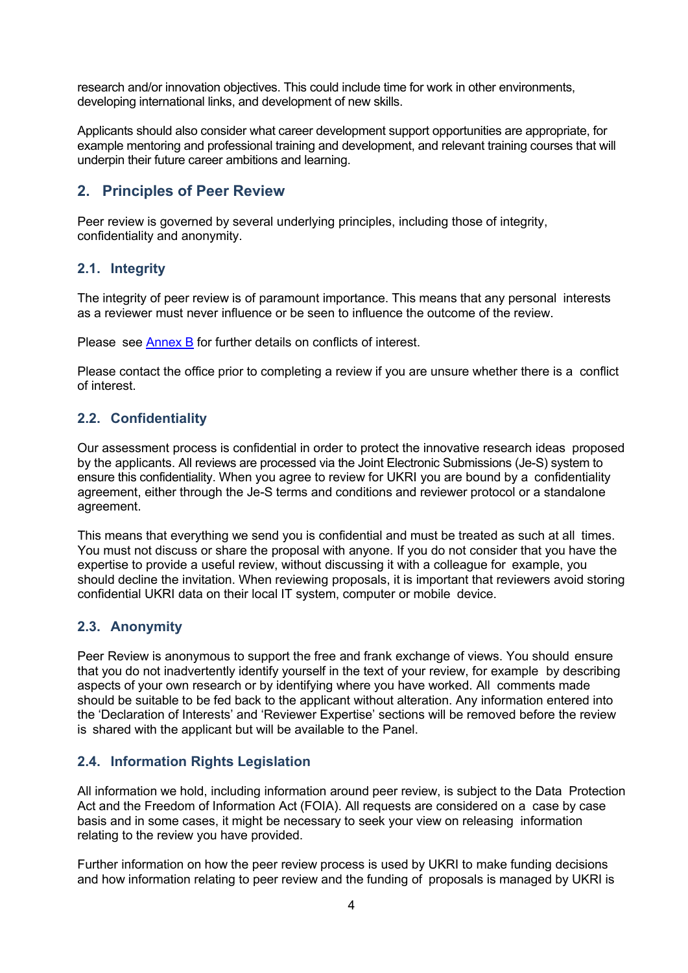research and/or innovation objectives. This could include time for work in other environments, developing international links, and development of new skills.

Applicants should also consider what career development support opportunities are appropriate, for example mentoring and professional training and development, and relevant training courses that will underpin their future career ambitions and learning.

# <span id="page-3-0"></span>**2. Principles of Peer Review**

Peer review is governed by several underlying principles, including those of integrity, confidentiality and anonymity.

### <span id="page-3-1"></span>**2.1. Integrity**

The integrity of peer review is of paramount importance. This means that any personal interests as a reviewer must never influence or be seen to influence the outcome of the review.

Please see [Annex](#page-15-0) B for further details on conflicts of interest.

Please contact the office prior to completing a review if you are unsure whether there is a conflict of interest.

# <span id="page-3-2"></span>**2.2. Confidentiality**

Our assessment process is confidential in order to protect the innovative research ideas proposed by the applicants. All reviews are processed via the Joint Electronic Submissions (Je-S) system to ensure this confidentiality. When you agree to review for UKRI you are bound by a confidentiality agreement, either through the Je-S terms and conditions and reviewer protocol or a standalone agreement.

This means that everything we send you is confidential and must be treated as such at all times. You must not discuss or share the proposal with anyone. If you do not consider that you have the expertise to provide a useful review, without discussing it with a colleague for example, you should decline the invitation. When reviewing proposals, it is important that reviewers avoid storing confidential UKRI data on their local IT system, computer or mobile device.

# <span id="page-3-3"></span>**2.3. Anonymity**

Peer Review is anonymous to support the free and frank exchange of views. You should ensure that you do not inadvertently identify yourself in the text of your review, for example by describing aspects of your own research or by identifying where you have worked. All comments made should be suitable to be fed back to the applicant without alteration. Any information entered into the 'Declaration of Interests' and 'Reviewer Expertise' sections will be removed before the review is shared with the applicant but will be available to the Panel.

# <span id="page-3-4"></span>**2.4. Information Rights Legislation**

All information we hold, including information around peer review, is subject to the Data Protection Act and the Freedom of Information Act (FOIA). All requests are considered on a case by case basis and in some cases, it might be necessary to seek your view on releasing information relating to the review you have provided.

Further information on how the peer review process is used by UKRI to make funding decisions and how information relating to peer review and the funding of proposals is managed by UKRI is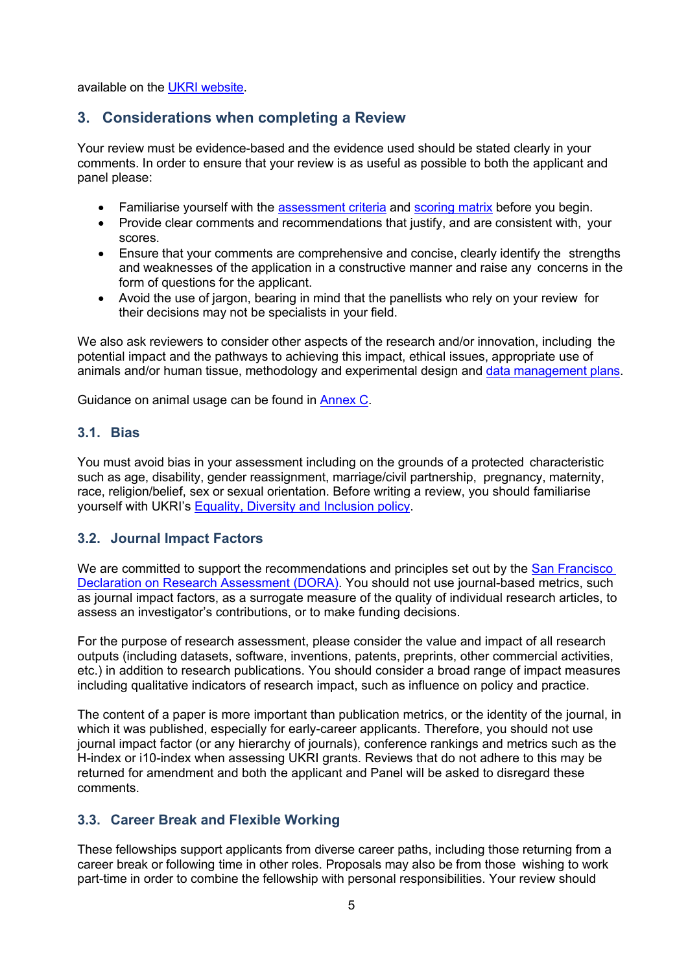available on the [UKRI website.](https://www.ukri.org/apply-for-funding/how-we-make-decisions/guidance-for-orcid-reviewer-recognition/)

### <span id="page-4-0"></span>**3. Considerations when completing a Review**

Your review must be evidence-based and the evidence used should be stated clearly in your comments. In order to ensure that your review is as useful as possible to both the applicant and panel please:

- Familiarise yourself with the [assessment criteria](#page-13-0) and [scoring](#page-11-0) matrix before you begin.
- Provide clear comments and recommendations that justify, and are consistent with, your scores.
- Ensure that your comments are comprehensive and concise, clearly identify the strengths and weaknesses of the application in a constructive manner and raise any concerns in the form of questions for the applicant.
- Avoid the use of jargon, bearing in mind that the panellists who rely on your review for their decisions may not be specialists in your field.

We also ask reviewers to consider other aspects of the research and/or innovation, including the potenti[al](https://www.ukri.org/innovation/excellence-with-impact/) impact and the pathways to achieving this impact, ethical issues, appropriate use of animals and/or human tissue, methodology and experimental design a[nd](https://www.ukri.org/funding/information-for-award-holders/data-policy/) [data management plans.](https://www.ukri.org/funding/information-for-award-holders/data-policy/)

Guidance on animal usage can be found in [Annex](#page-16-0) C.

### <span id="page-4-1"></span>**3.1. Bias**

You must avoid bias in your assessment including on the grounds of a protected characteristic such as age, disability, gender reassignment, marriage/civil partnership, pregnancy, maternity, race, religion/belief, sex or sexual orientation. Before writing a review, you should familiarise yourself with UKRI's [Equality, Diversity and Inclusion policy.](https://www.ukri.org/about-us/policies-and-standards/equality-diversity-and-inclusion/)

### <span id="page-4-2"></span>**3.2. Journal Impact Factors**

We are committed to support the recommendations and principles set out by the San Francisco [Declaration on Research Assessment \(DORA\).](https://sfdora.org/read/) You should not use journal-based metrics, such as journal impact factors, as a surrogate measure of the quality of individual research articles, to assess an investigator's contributions, or to make funding decisions.

For the purpose of research assessment, please consider the value and impact of all research outputs (including datasets, software, inventions, patents, preprints, other commercial activities, etc.) in addition to research publications. You should consider a broad range of impact measures including qualitative indicators of research impact, such as influence on policy and practice.

The content of a paper is more important than publication metrics, or the identity of the journal, in which it was published, especially for early-career applicants. Therefore, you should not use journal impact factor (or any hierarchy of journals), conference rankings and metrics such as the H-index or i10-index when assessing UKRI grants. Reviews that do not adhere to this may be returned for amendment and both the applicant and Panel will be asked to disregard these comments.

### <span id="page-4-3"></span>**3.3. Career Break and Flexible Working**

These fellowships support applicants from diverse career paths, including those returning from a career break or following time in other roles. Proposals may also be from those wishing to work part-time in order to combine the fellowship with personal responsibilities. Your review should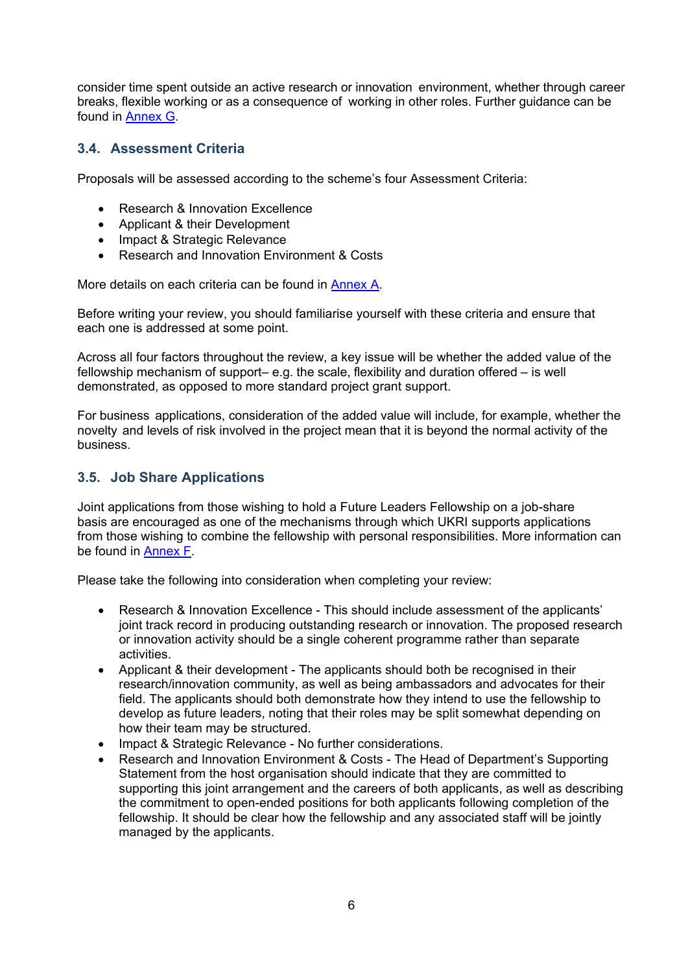consider time spent outside an active research or innovation environment, whether through career breaks, flexible working or as a consequence of working in other roles. Further guidance can be found in [Annex G.](#page-24-0)

### <span id="page-5-0"></span>**3.4. Assessment Criteria**

Proposals will be assessed according to the scheme's four Assessment Criteria:

- Research & Innovation Excellence
- Applicant & their Development
- Impact & Strategic Relevance
- Research and Innovation Environment & Costs

More details on each criteria can be found in [Annex A.](#page-13-0)

Before writing your review, you should familiarise yourself with these criteria and ensure that each one is addressed at some point.

Across all four factors throughout the review, a key issue will be whether the added value of the fellowship mechanism of support– e.g. the scale, flexibility and duration offered – is well demonstrated, as opposed to more standard project grant support.

For business applications, consideration of the added value will include, for example, whether the novelty and levels of risk involved in the project mean that it is beyond the normal activity of the business.

### <span id="page-5-1"></span>**3.5. Job Share Applications**

Joint applications from those wishing to hold a Future Leaders Fellowship on a job-share basis are encouraged as one of the mechanisms through which UKRI supports applications from those wishing to combine the fellowship with personal responsibilities. More information can be found in [Annex F.](#page-22-0)

Please take the following into consideration when completing your review:

- Research & Innovation Excellence This should include assessment of the applicants' joint track record in producing outstanding research or innovation. The proposed research or innovation activity should be a single coherent programme rather than separate activities.
- Applicant & their development The applicants should both be recognised in their research/innovation community, as well as being ambassadors and advocates for their field. The applicants should both demonstrate how they intend to use the fellowship to develop as future leaders, noting that their roles may be split somewhat depending on how their team may be structured.
- Impact & Strategic Relevance No further considerations.
- Research and Innovation Environment & Costs The Head of Department's Supporting Statement from the host organisation should indicate that they are committed to supporting this joint arrangement and the careers of both applicants, as well as describing the commitment to open-ended positions for both applicants following completion of the fellowship. It should be clear how the fellowship and any associated staff will be jointly managed by the applicants.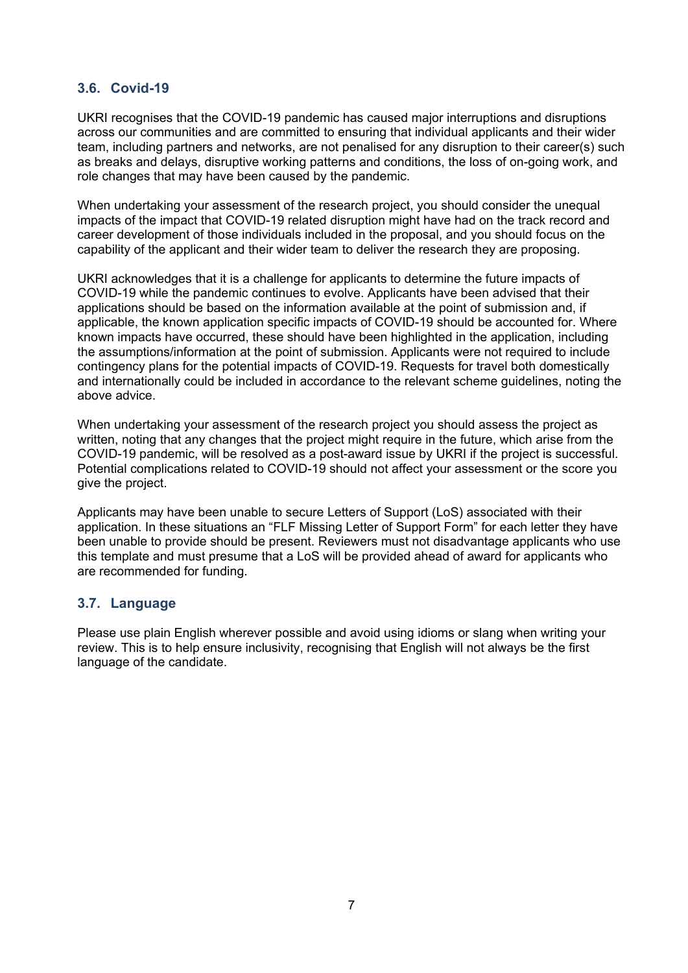### <span id="page-6-0"></span>**3.6. Covid-19**

UKRI recognises that the COVID-19 pandemic has caused major interruptions and disruptions across our communities and are committed to ensuring that individual applicants and their wider team, including partners and networks, are not penalised for any disruption to their career(s) such as breaks and delays, disruptive working patterns and conditions, the loss of on-going work, and role changes that may have been caused by the pandemic.

When undertaking your assessment of the research project, you should consider the unequal impacts of the impact that COVID-19 related disruption might have had on the track record and career development of those individuals included in the proposal, and you should focus on the capability of the applicant and their wider team to deliver the research they are proposing.

UKRI acknowledges that it is a challenge for applicants to determine the future impacts of COVID-19 while the pandemic continues to evolve. Applicants have been advised that their applications should be based on the information available at the point of submission and, if applicable, the known application specific impacts of COVID-19 should be accounted for. Where known impacts have occurred, these should have been highlighted in the application, including the assumptions/information at the point of submission. Applicants were not required to include contingency plans for the potential impacts of COVID-19. Requests for travel both domestically and internationally could be included in accordance to the relevant scheme guidelines, noting the above advice.

When undertaking your assessment of the research project you should assess the project as written, noting that any changes that the project might require in the future, which arise from the COVID-19 pandemic, will be resolved as a post-award issue by UKRI if the project is successful. Potential complications related to COVID-19 should not affect your assessment or the score you give the project.

Applicants may have been unable to secure Letters of Support (LoS) associated with their application. In these situations an "FLF Missing Letter of Support Form" for each letter they have been unable to provide should be present. Reviewers must not disadvantage applicants who use this template and must presume that a LoS will be provided ahead of award for applicants who are recommended for funding.

### <span id="page-6-1"></span>**3.7. Language**

Please use plain English wherever possible and avoid using idioms or slang when writing your review. This is to help ensure inclusivity, recognising that English will not always be the first language of the candidate.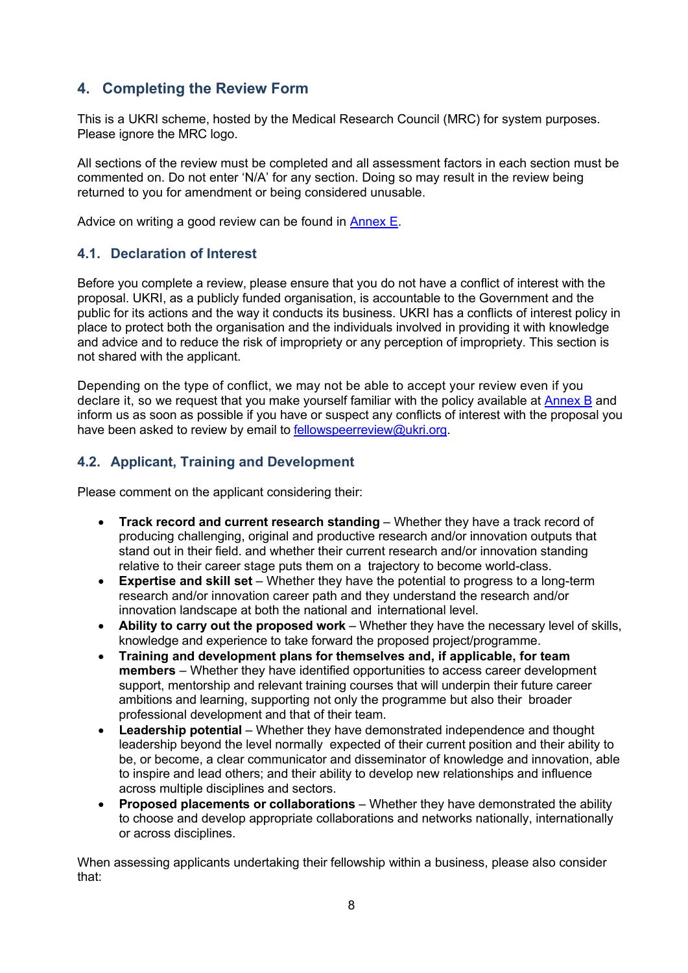# <span id="page-7-0"></span>**4. Completing the Review Form**

This is a UKRI scheme, hosted by the Medical Research Council (MRC) for system purposes. Please ignore the MRC logo.

All sections of the review must be completed and all assessment factors in each section must be commented on. Do not enter 'N/A' for any section. Doing so may result in the review being returned to you for amendment or being considered unusable.

Advice on writing a good review can be found in [Annex E.](#page-21-0)

### <span id="page-7-1"></span>**4.1. Declaration of Interest**

Before you complete a review, please ensure that you do not have a conflict of interest with the proposal. UKRI, as a publicly funded organisation, is accountable to the Government and the public for its actions and the way it conducts its business. UKRI has a conflicts of interest policy in place to protect both the organisation and the individuals involved in providing it with knowledge and advice and to reduce the risk of impropriety or any perception of impropriety. This section is not shared with the applicant.

Depending on the type of conflict, we may not be able to accept your review even if you declare it, so we request that you make yourself familiar with the policy available at [Annex B](#page-15-0) and inform us as soon as possible if you have or suspect any conflicts of interest with the proposal you have been asked to review by email to [fellowspeerreview@ukri.org.](mailto:fellowspeerreview@ukri.org)

### <span id="page-7-2"></span>**4.2. Applicant, Training and Development**

Please comment on the applicant considering their:

- **Track record and current research standing** Whether they have a track record of producing challenging, original and productive research and/or innovation outputs that stand out in their field. and whether their current research and/or innovation standing relative to their career stage puts them on a trajectory to become world-class.
- **Expertise and skill set** Whether they have the potential to progress to a long-term research and/or innovation career path and they understand the research and/or innovation landscape at both the national and international level.
- **Ability to carry out the proposed work** Whether they have the necessary level of skills, knowledge and experience to take forward the proposed project/programme.
- **Training and development plans for themselves and, if applicable, for team members** – Whether they have identified opportunities to access career development support, mentorship and relevant training courses that will underpin their future career ambitions and learning, supporting not only the programme but also their broader professional development and that of their team.
- **Leadership potential** Whether they have demonstrated independence and thought leadership beyond the level normally expected of their current position and their ability to be, or become, a clear communicator and disseminator of knowledge and innovation, able to inspire and lead others; and their ability to develop new relationships and influence across multiple disciplines and sectors.
- **Proposed placements or collaborations** Whether they have demonstrated the ability to choose and develop appropriate collaborations and networks nationally, internationally or across disciplines.

When assessing applicants undertaking their fellowship within a business, please also consider that: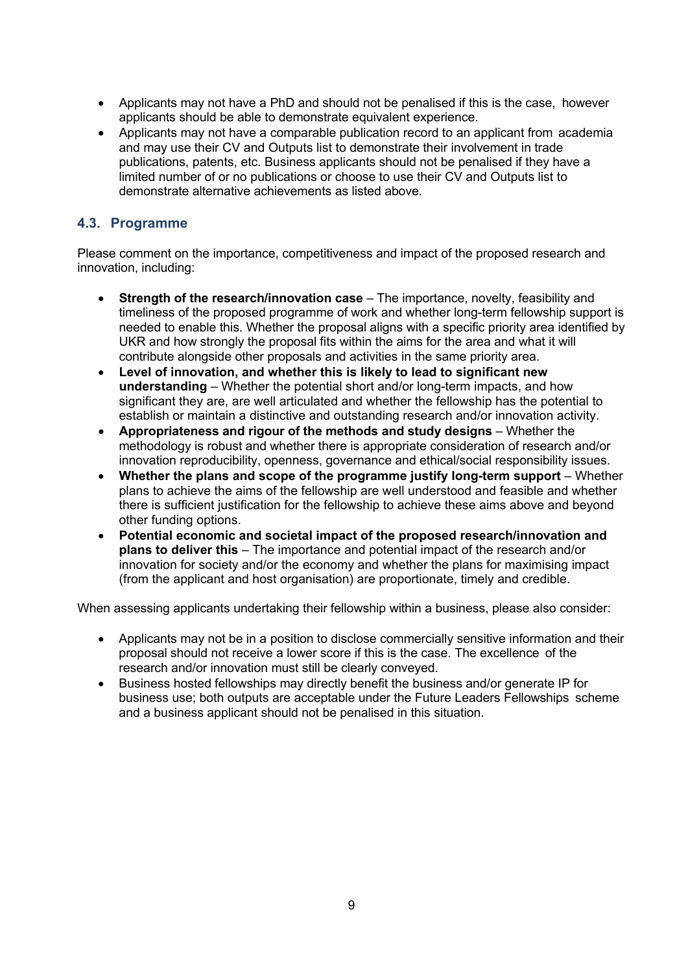- Applicants may not have a PhD and should not be penalised if this is the case, however applicants should be able to demonstrate equivalent experience.
- Applicants may not have a comparable publication record to an applicant from academia and may use their CV and Outputs list to demonstrate their involvement in trade publications, patents, etc. Business applicants should not be penalised if they have a limited number of or no publications or choose to use their CV and Outputs list to demonstrate alternative achievements as listed above.

### <span id="page-8-0"></span>**4.3. Programme**

Please comment on the importance, competitiveness and impact of the proposed research and innovation, including:

- **Strength of the research/innovation case** The importance, novelty, feasibility and timeliness of the proposed programme of work and whether long-term fellowship support is needed to enable this. Whether the proposal aligns with a specific priority area identified by UKR and how strongly the proposal fits within the aims for the area and what it will contribute alongside other proposals and activities in the same priority area.
- **Level of innovation, and whether this is likely to lead to significant new understanding** – Whether the potential short and/or long-term impacts, and how significant they are, are well articulated and whether the fellowship has the potential to establish or maintain a distinctive and outstanding research and/or innovation activity.
- **Appropriateness and rigour of the methods and study designs** Whether the methodology is robust and whether there is appropriate consideration of research and/or innovation reproducibility, openness, governance and ethical/social responsibility issues.
- **Whether the plans and scope of the programme justify long-term support** Whether plans to achieve the aims of the fellowship are well understood and feasible and whether there is sufficient justification for the fellowship to achieve these aims above and beyond other funding options.
- **Potential economic and societal impact of the proposed research/innovation and plans to deliver this** – The importance and potential impact of the research and/or innovation for society and/or the economy and whether the plans for maximising impact (from the applicant and host organisation) are proportionate, timely and credible.

When assessing applicants undertaking their fellowship within a business, please also consider:

- Applicants may not be in a position to disclose commercially sensitive information and their proposal should not receive a lower score if this is the case. The excellence of the research and/or innovation must still be clearly conveyed.
- Business hosted fellowships may directly benefit the business and/or generate IP for business use; both outputs are acceptable under the Future Leaders Fellowships scheme and a business applicant should not be penalised in this situation.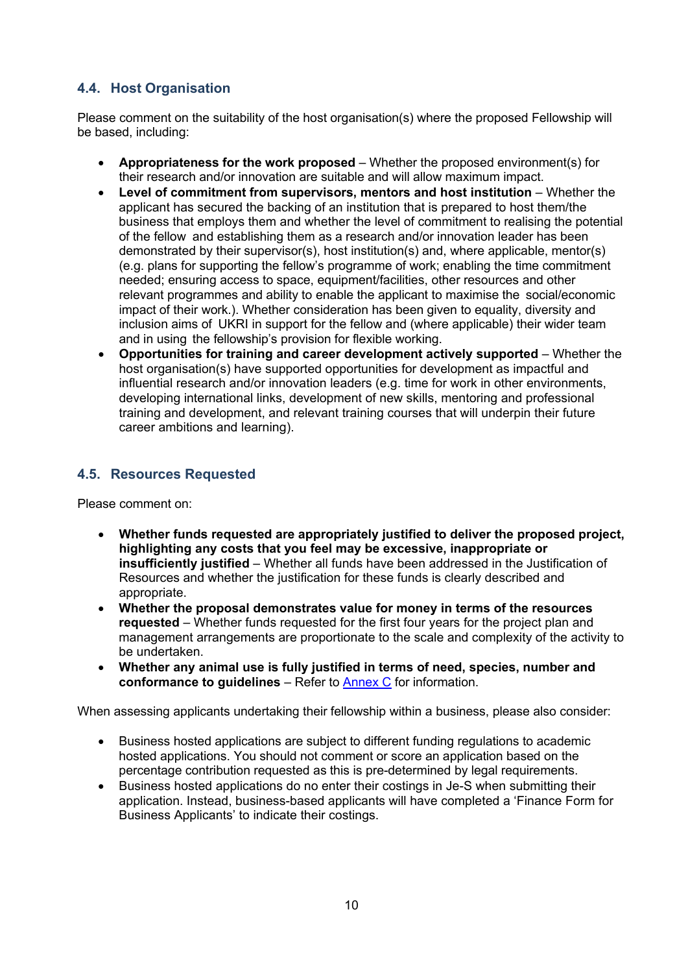# <span id="page-9-0"></span>**4.4. Host Organisation**

Please comment on the suitability of the host organisation(s) where the proposed Fellowship will be based, including:

- **Appropriateness for the work proposed** Whether the proposed environment(s) for their research and/or innovation are suitable and will allow maximum impact.
- **Level of commitment from supervisors, mentors and host institution** Whether the applicant has secured the backing of an institution that is prepared to host them/the business that employs them and whether the level of commitment to realising the potential of the fellow and establishing them as a research and/or innovation leader has been demonstrated by their supervisor(s), host institution(s) and, where applicable, mentor(s) (e.g. plans for supporting the fellow's programme of work; enabling the time commitment needed; ensuring access to space, equipment/facilities, other resources and other relevant programmes and ability to enable the applicant to maximise the social/economic impact of their work.). Whether consideration has been given to equality, diversity and inclusion aims of UKRI in support for the fellow and (where applicable) their wider team and in using the fellowship's provision for flexible working.
- **Opportunities for training and career development actively supported** Whether the host organisation(s) have supported opportunities for development as impactful and influential research and/or innovation leaders (e.g. time for work in other environments, developing international links, development of new skills, mentoring and professional training and development, and relevant training courses that will underpin their future career ambitions and learning).

### <span id="page-9-1"></span>**4.5. Resources Requested**

Please comment on:

- **Whether funds requested are appropriately justified to deliver the proposed project, highlighting any costs that you feel may be excessive, inappropriate or insufficiently justified** – Whether all funds have been addressed in the Justification of Resources and whether the justification for these funds is clearly described and appropriate.
- **Whether the proposal demonstrates value for money in terms of the resources requested** – Whether funds requested for the first four years for the project plan and management arrangements are proportionate to the scale and complexity of the activity to be undertaken.
- **Whether any animal use is fully justified in terms of need, species, number and conformance to guidelines** – Refer to [Annex C](#page-16-0) for information.

When assessing applicants undertaking their fellowship within a business, please also consider:

- Business hosted applications are subject to different funding regulations to academic hosted applications. You should not comment or score an application based on the percentage contribution requested as this is pre-determined by legal requirements.
- Business hosted applications do no enter their costings in Je-S when submitting their application. Instead, business-based applicants will have completed a 'Finance Form for Business Applicants' to indicate their costings.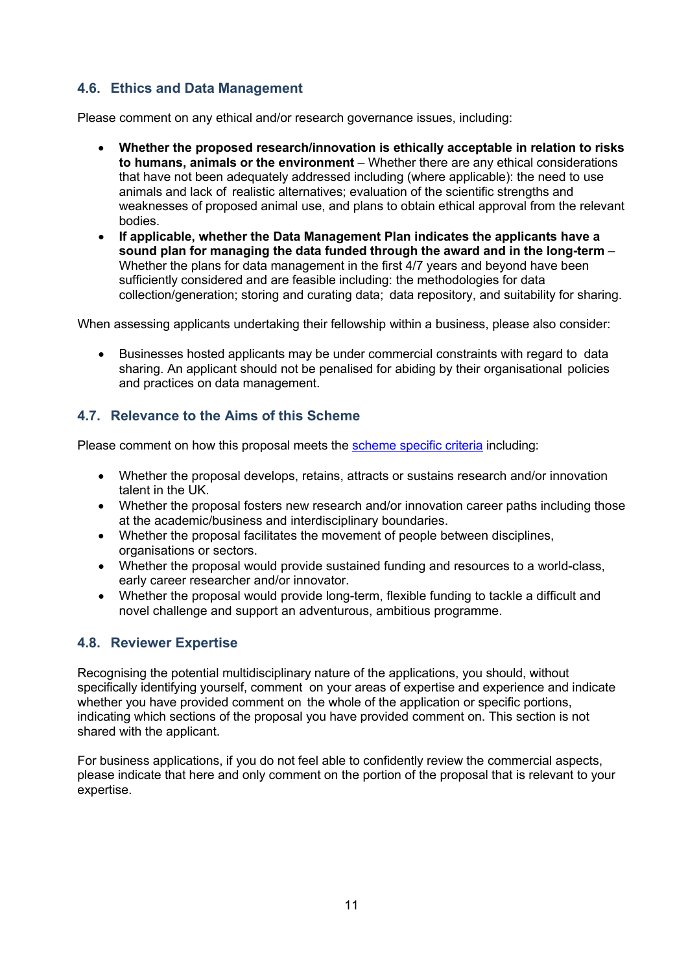## <span id="page-10-0"></span>**4.6. Ethics and Data Management**

Please comment on any ethical and/or research governance issues, including:

- **Whether the proposed research/innovation is ethically acceptable in relation to risks to humans, animals or the environment** – Whether there are any ethical considerations that have not been adequately addressed including (where applicable): the need to use animals and lack of realistic alternatives; evaluation of the scientific strengths and weaknesses of proposed animal use, and plans to obtain ethical approval from the relevant bodies.
- **If applicable, whether the Data Management Plan indicates the applicants have a sound plan for managing the data funded through the award and in the long-term** – Whether the plans for data management in the first 4/7 years and beyond have been sufficiently considered and are feasible including: the methodologies for data collection/generation; storing and curating data; data repository, and suitability for sharing.

When assessing applicants undertaking their fellowship within a business, please also consider:

• Businesses hosted applicants may be under commercial constraints with regard to data sharing. An applicant should not be penalised for abiding by their organisational policies and practices on data management.

# <span id="page-10-1"></span>**4.7. Relevance to the Aims of this Scheme**

Please comment on how this proposal meets the [scheme specific criteria](#page-2-1) including:

- Whether the proposal develops, retains, attracts or sustains research and/or innovation talent in the UK.
- Whether the proposal fosters new research and/or innovation career paths including those at the academic/business and interdisciplinary boundaries.
- Whether the proposal facilitates the movement of people between disciplines, organisations or sectors.
- Whether the proposal would provide sustained funding and resources to a world-class, early career researcher and/or innovator.
- Whether the proposal would provide long-term, flexible funding to tackle a difficult and novel challenge and support an adventurous, ambitious programme.

# <span id="page-10-2"></span>**4.8. Reviewer Expertise**

Recognising the potential multidisciplinary nature of the applications, you should, without specifically identifying yourself, comment on your areas of expertise and experience and indicate whether you have provided comment on the whole of the application or specific portions. indicating which sections of the proposal you have provided comment on. This section is not shared with the applicant.

For business applications, if you do not feel able to confidently review the commercial aspects, please indicate that here and only comment on the portion of the proposal that is relevant to your expertise.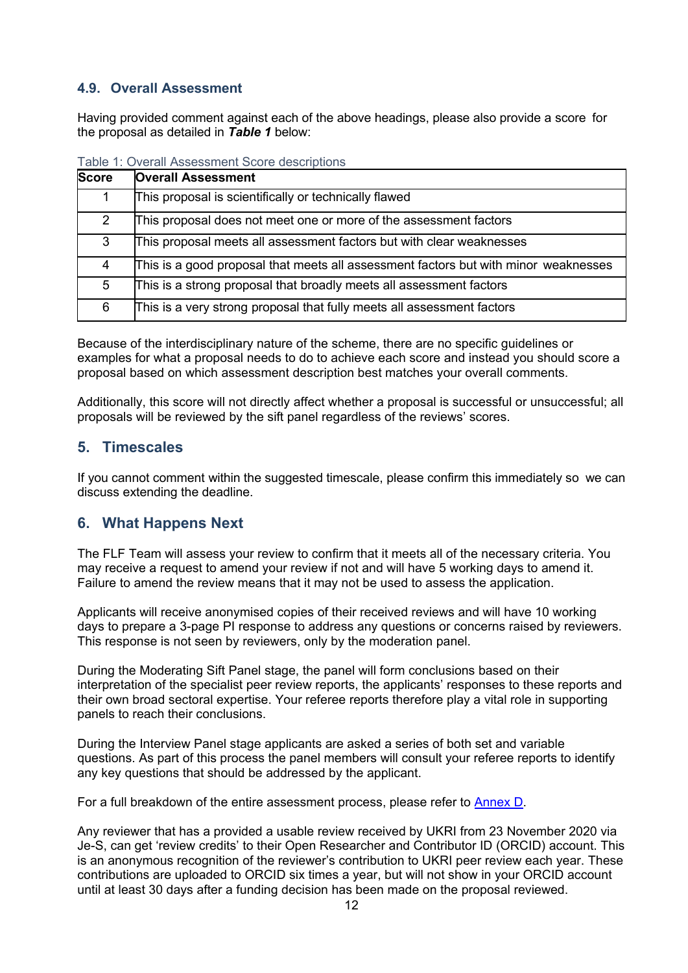### <span id="page-11-0"></span>**4.9. Overall Assessment**

Having provided comment against each of the above headings, please also provide a score for the proposal as detailed in *Table 1* below:

| <b>Score</b>  | <b>Overall Assessment</b>                                                           |
|---------------|-------------------------------------------------------------------------------------|
|               | This proposal is scientifically or technically flawed                               |
| $\mathcal{P}$ | This proposal does not meet one or more of the assessment factors                   |
| 3             | This proposal meets all assessment factors but with clear weaknesses                |
| 4             | This is a good proposal that meets all assessment factors but with minor weaknesses |
| 5             | This is a strong proposal that broadly meets all assessment factors                 |
| 6             | This is a very strong proposal that fully meets all assessment factors              |

| Table 1: Overall Assessment Score descriptions |  |
|------------------------------------------------|--|
|------------------------------------------------|--|

Because of the interdisciplinary nature of the scheme, there are no specific guidelines or examples for what a proposal needs to do to achieve each score and instead you should score a proposal based on which assessment description best matches your overall comments.

Additionally, this score will not directly affect whether a proposal is successful or unsuccessful; all proposals will be reviewed by the sift panel regardless of the reviews' scores.

### <span id="page-11-1"></span>**5. Timescales**

If you cannot comment within the suggested timescale, please confirm this immediately so we can discuss extending the deadline.

### <span id="page-11-2"></span>**6. What Happens Next**

The FLF Team will assess your review to confirm that it meets all of the necessary criteria. You may receive a request to amend your review if not and will have 5 working days to amend it. Failure to amend the review means that it may not be used to assess the application.

Applicants will receive anonymised copies of their received reviews and will have 10 working days to prepare a 3-page PI response to address any questions or concerns raised by reviewers. This response is not seen by reviewers, only by the moderation panel.

During the Moderating Sift Panel stage, the panel will form conclusions based on their interpretation of the specialist peer review reports, the applicants' responses to these reports and their own broad sectoral expertise. Your referee reports therefore play a vital role in supporting panels to reach their conclusions.

During the Interview Panel stage applicants are asked a series of both set and variable questions. As part of this process the panel members will consult your referee reports to identify any key questions that should be addressed by the applicant.

For a full breakdown of the entire assessment process, please refer to **Annex D**.

Any reviewer that has a provided a usable review received by UKRI from 23 November 2020 via Je-S, can get 'review credits' to their Open Researcher and Contributor ID (ORCID) account. This is an anonymous recognition of the reviewer's contribution to UKRI peer review each year. These contributions are uploaded to ORCID six times a year, but will not show in your ORCID account until at least 30 days after a funding decision has been made on the proposal reviewed.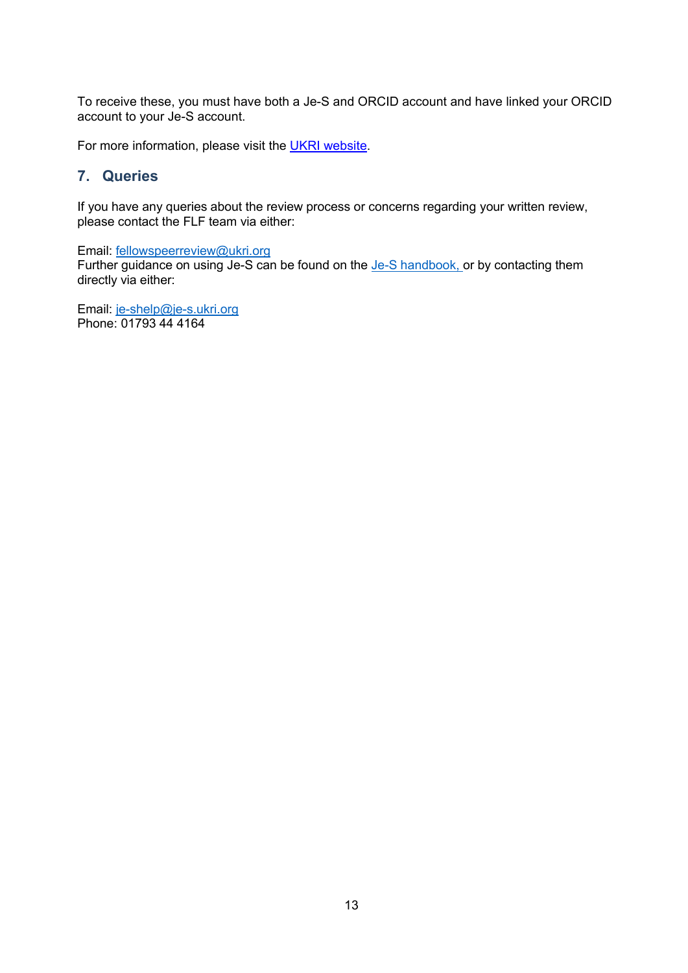To receive these, you must have both a Je-S and ORCID account and have linked your ORCID account to your Je-S account.

For more information, please visit the [UKRI website.](https://www.ukri.org/apply-for-funding/how-we-make-decisions/guidance-for-orcid-reviewer-recognition/)

### <span id="page-12-0"></span>**7. Queries**

If you have any queries about the review process or concerns regarding your written review, please contact the FLF team via either:

Email: [fellowspeerreview@ukri.org](mailto:fellowspeerreview@ukri.org)

Further guidance on using Je-S can be found on the Je-S [handbook,](https://je-s.rcuk.ac.uk/handbook/index.htm) or by contacting them directly via either:

Email: [je-shelp@je-s.ukri.org](mailto:je-shelp@je-s.ukri.org) Phone: 01793 44 4164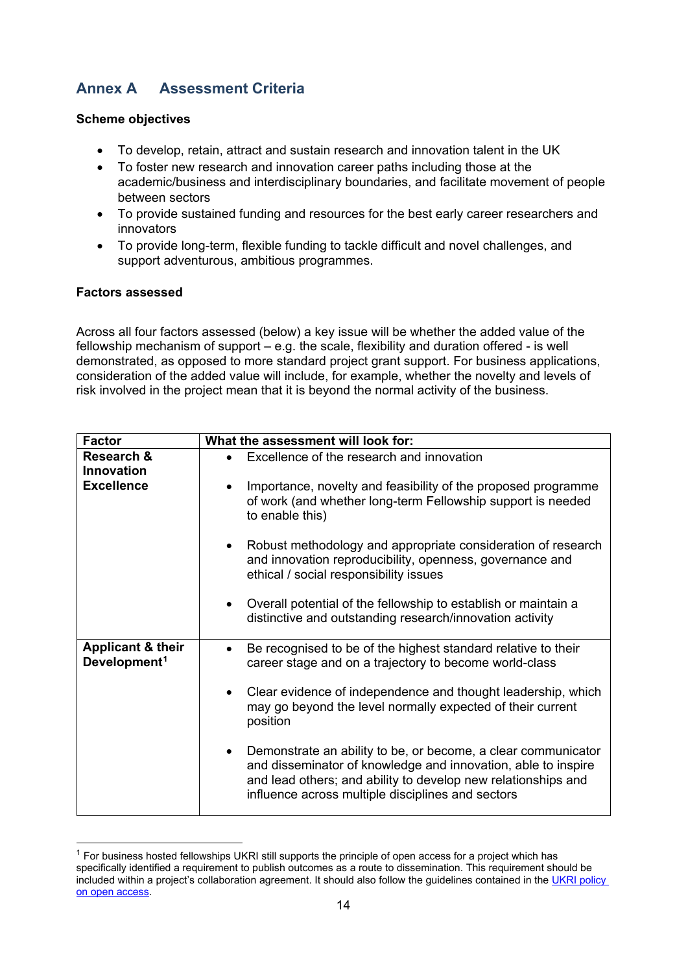# <span id="page-13-0"></span>**Annex A Assessment Criteria**

### **Scheme objectives**

- To develop, retain, attract and sustain research and innovation talent in the UK
- To foster new research and innovation career paths including those at the academic/business and interdisciplinary boundaries, and facilitate movement of people between sectors
- To provide sustained funding and resources for the best early career researchers and innovators
- To provide long-term, flexible funding to tackle difficult and novel challenges, and support adventurous, ambitious programmes.

### **Factors assessed**

Across all four factors assessed (below) a key issue will be whether the added value of the fellowship mechanism of support  $-$  e.g. the scale, flexibility and duration offered  $-$  is well demonstrated, as opposed to more standard project grant support. For business applications, consideration of the added value will include, for example, whether the novelty and levels of risk involved in the project mean that it is beyond the normal activity of the business.

| <b>Factor</b>                                            | What the assessment will look for:                                                                                                                                                                                                                                |
|----------------------------------------------------------|-------------------------------------------------------------------------------------------------------------------------------------------------------------------------------------------------------------------------------------------------------------------|
| Research &<br>Innovation                                 | Excellence of the research and innovation                                                                                                                                                                                                                         |
| <b>Excellence</b>                                        | Importance, novelty and feasibility of the proposed programme<br>of work (and whether long-term Fellowship support is needed<br>to enable this)                                                                                                                   |
|                                                          | Robust methodology and appropriate consideration of research<br>and innovation reproducibility, openness, governance and<br>ethical / social responsibility issues                                                                                                |
|                                                          | Overall potential of the fellowship to establish or maintain a<br>distinctive and outstanding research/innovation activity                                                                                                                                        |
| <b>Applicant &amp; their</b><br>Development <sup>1</sup> | Be recognised to be of the highest standard relative to their<br>$\bullet$<br>career stage and on a trajectory to become world-class                                                                                                                              |
|                                                          | Clear evidence of independence and thought leadership, which<br>may go beyond the level normally expected of their current<br>position                                                                                                                            |
|                                                          | Demonstrate an ability to be, or become, a clear communicator<br>$\bullet$<br>and disseminator of knowledge and innovation, able to inspire<br>and lead others; and ability to develop new relationships and<br>influence across multiple disciplines and sectors |

<span id="page-13-1"></span> $1$  For business hosted fellowships UKRI still supports the principle of open access for a project which has specifically identified a requirement to publish outcomes as a route to dissemination. This requirement should be included within a project's collaboration agreement. It should also follow the guidelines contained in t[he UKRI](https://www.ukri.org/funding/information-for-award-holders/open-access/) [policy](https://www.ukri.org/funding/information-for-award-holders/open-access/)  [on open access.](https://www.ukri.org/funding/information-for-award-holders/open-access/)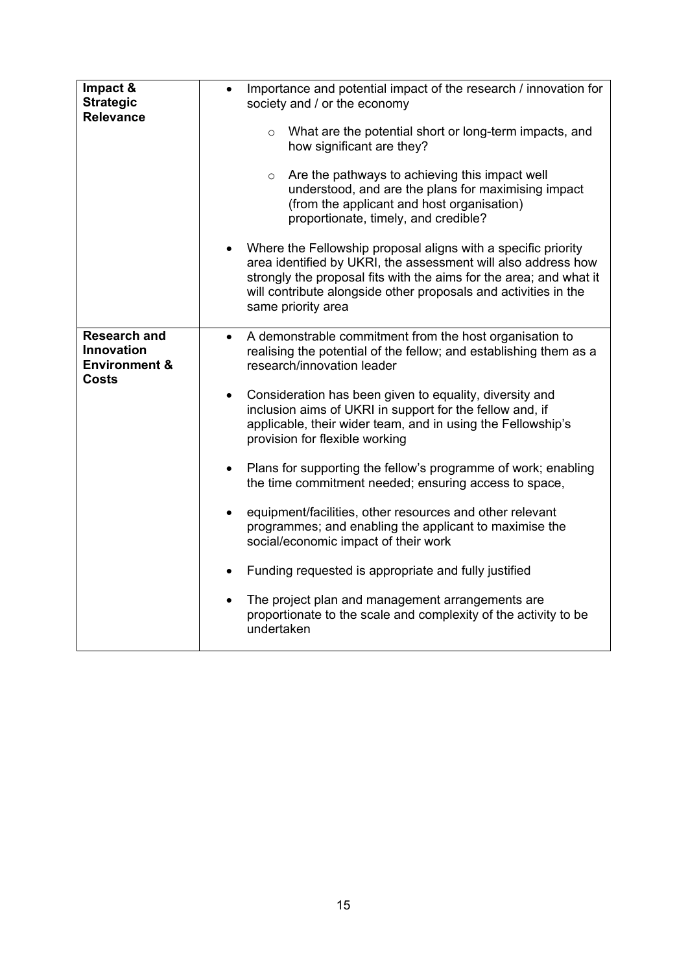| Impact &<br><b>Strategic</b><br><b>Relevance</b>                              | Importance and potential impact of the research / innovation for<br>$\bullet$<br>society and / or the economy<br>$\circ$ What are the potential short or long-term impacts, and<br>how significant are they?<br>Are the pathways to achieving this impact well<br>$\circ$<br>understood, and are the plans for maximising impact<br>(from the applicant and host organisation)<br>proportionate, timely, and credible? |
|-------------------------------------------------------------------------------|------------------------------------------------------------------------------------------------------------------------------------------------------------------------------------------------------------------------------------------------------------------------------------------------------------------------------------------------------------------------------------------------------------------------|
|                                                                               | • Where the Fellowship proposal aligns with a specific priority<br>area identified by UKRI, the assessment will also address how<br>strongly the proposal fits with the aims for the area; and what it<br>will contribute alongside other proposals and activities in the<br>same priority area                                                                                                                        |
| <b>Research and</b><br><b>Innovation</b><br><b>Environment &amp;</b><br>Costs | A demonstrable commitment from the host organisation to<br>realising the potential of the fellow; and establishing them as a<br>research/innovation leader<br>Consideration has been given to equality, diversity and<br>$\bullet$<br>inclusion aims of UKRI in support for the fellow and, if<br>applicable, their wider team, and in using the Fellowship's                                                          |
|                                                                               | provision for flexible working<br>Plans for supporting the fellow's programme of work; enabling<br>$\bullet$<br>the time commitment needed; ensuring access to space,<br>equipment/facilities, other resources and other relevant<br>programmes; and enabling the applicant to maximise the                                                                                                                            |
|                                                                               | social/economic impact of their work<br>Funding requested is appropriate and fully justified<br>$\bullet$<br>The project plan and management arrangements are<br>$\bullet$<br>proportionate to the scale and complexity of the activity to be<br>undertaken                                                                                                                                                            |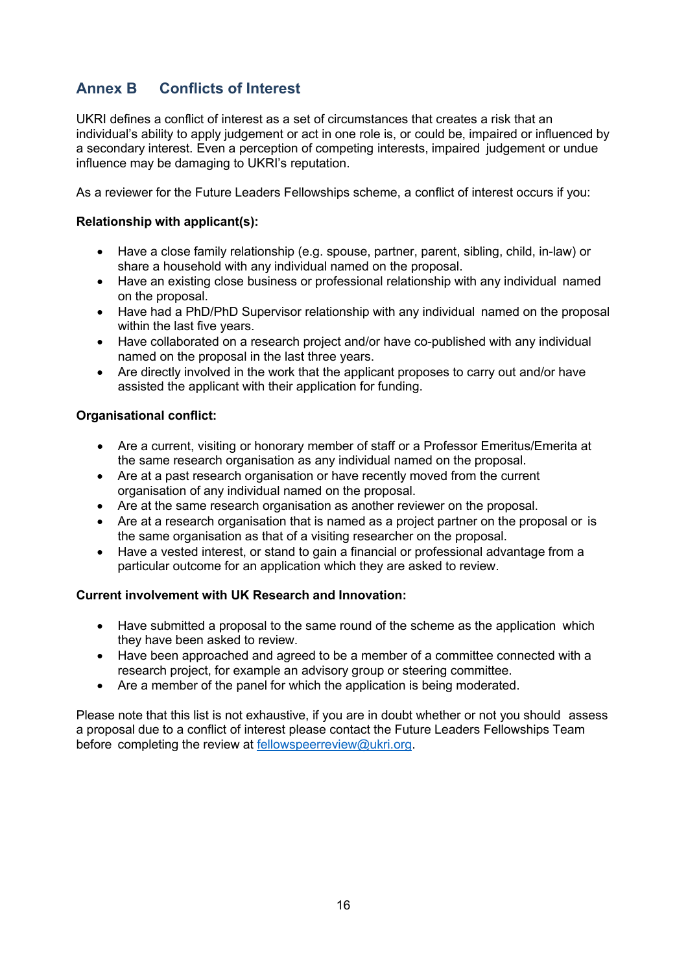# <span id="page-15-0"></span>**Annex B Conflicts of Interest**

UKRI defines a conflict of interest as a set of circumstances that creates a risk that an individual's ability to apply judgement or act in one role is, or could be, impaired or influenced by a secondary interest. Even a perception of competing interests, impaired judgement or undue influence may be damaging to UKRI's reputation.

As a reviewer for the Future Leaders Fellowships scheme, a conflict of interest occurs if you:

### **Relationship with applicant(s):**

- Have a close family relationship (e.g. spouse, partner, parent, sibling, child, in-law) or share a household with any individual named on the proposal.
- Have an existing close business or professional relationship with any individual named on the proposal.
- Have had a PhD/PhD Supervisor relationship with any individual named on the proposal within the last five years.
- Have collaborated on a research project and/or have co-published with any individual named on the proposal in the last three years.
- Are directly involved in the work that the applicant proposes to carry out and/or have assisted the applicant with their application for funding.

### **Organisational conflict:**

- Are a current, visiting or honorary member of staff or a Professor Emeritus/Emerita at the same research organisation as any individual named on the proposal.
- Are at a past research organisation or have recently moved from the current organisation of any individual named on the proposal.
- Are at the same research organisation as another reviewer on the proposal.
- Are at a research organisation that is named as a project partner on the proposal or is the same organisation as that of a visiting researcher on the proposal.
- Have a vested interest, or stand to gain a financial or professional advantage from a particular outcome for an application which they are asked to review.

### **Current involvement with UK Research and Innovation:**

- Have submitted a proposal to the same round of the scheme as the application which they have been asked to review.
- Have been approached and agreed to be a member of a committee connected with a research project, for example an advisory group or steering committee.
- Are a member of the panel for which the application is being moderated.

Please note that this list is not exhaustive, if you are in doubt whether or not you should assess a proposal due to a conflict of interest please contact the Future Leaders Fellowships Team before completing the review at [fellowspeerreview@ukri.org.](mailto:fellowspeerreview@ukri.org)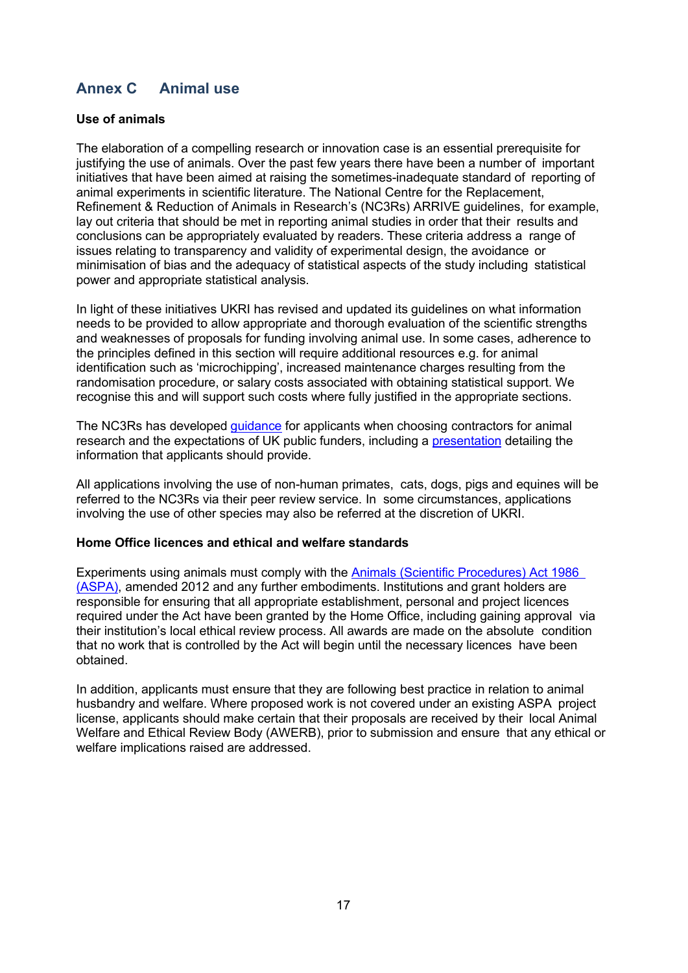# <span id="page-16-0"></span>**Annex C Animal use**

### **Use of animals**

The elaboration of a compelling research or innovation case is an essential prerequisite for justifying the use of animals. Over the past few years there have been a number of important initiatives that have been aimed at raising the sometimes-inadequate standard of reporting of animal experiments in scientific literature. The National Centre for the Replacement, Refinement & Reduction of Animals in Research's (NC3Rs) ARRIVE guidelines, for example, lay out criteria that should be met in reporting animal studies in order that their results and conclusions can be appropriately evaluated by readers. These criteria address a range of issues relating to transparency and validity of experimental design, the avoidance or minimisation of bias and the adequacy of statistical aspects of the study including statistical power and appropriate statistical analysis.

In light of these initiatives UKRI has revised and updated its guidelines on what information needs to be provided to allow appropriate and thorough evaluation of the scientific strengths and weaknesses of proposals for funding involving animal use. In some cases, adherence to the principles defined in this section will require additional resources e.g. for animal identification such as 'microchipping', increased maintenance charges resulting from the randomisation procedure, or salary costs associated with obtaining statistical support. We recognise this and will support such costs where fully justified in the appropriate sections.

The NC3Rs has developed quidance for applicants when choosing contractors for animal research and the expectations of UK public funders, including a [presentation](https://www.nc3rs.org.uk/sites/default/files/documents/general_publications/Choosing%20contractors%20for%20animal%20research%20-%20expectations%20of%20the%20major%20UK%20public%20funders.pdf) detailing the information that applicants should provide.

All applications involving the use of non-human primates, cats, dogs, pigs and equines will be referred to the NC3Rs via their peer review service. In some circumstances, applications involving the use of other species may also be referred at the discretion of UKRI.

### **Home Office licences and ethical and welfare standards**

Experiments using animals must comply with the Animals (Scientific [Procedures\)](https://www.gov.uk/government/publications/consolidated-version-of-aspa-1986) Act 1986 [\(ASPA\),](https://www.gov.uk/government/publications/consolidated-version-of-aspa-1986) amended 2012 and any further embodiments. Institutions and grant holders are responsible for ensuring that all appropriate establishment, personal and project licences required under the Act have been granted by the Home Office, including gaining approval via their institution's local ethical review process. All awards are made on the absolute condition that no work that is controlled by the Act will begin until the necessary licences have been obtained.

In addition, applicants must ensure that they are following best practice in relation to animal husbandry and welfare. Where proposed work is not covered under an existing ASPA project license, applicants should make certain that their proposals are received by their local Animal Welfare and Ethical Review Body (AWERB), prior to submission and ensure that any ethical or welfare implications raised are addressed.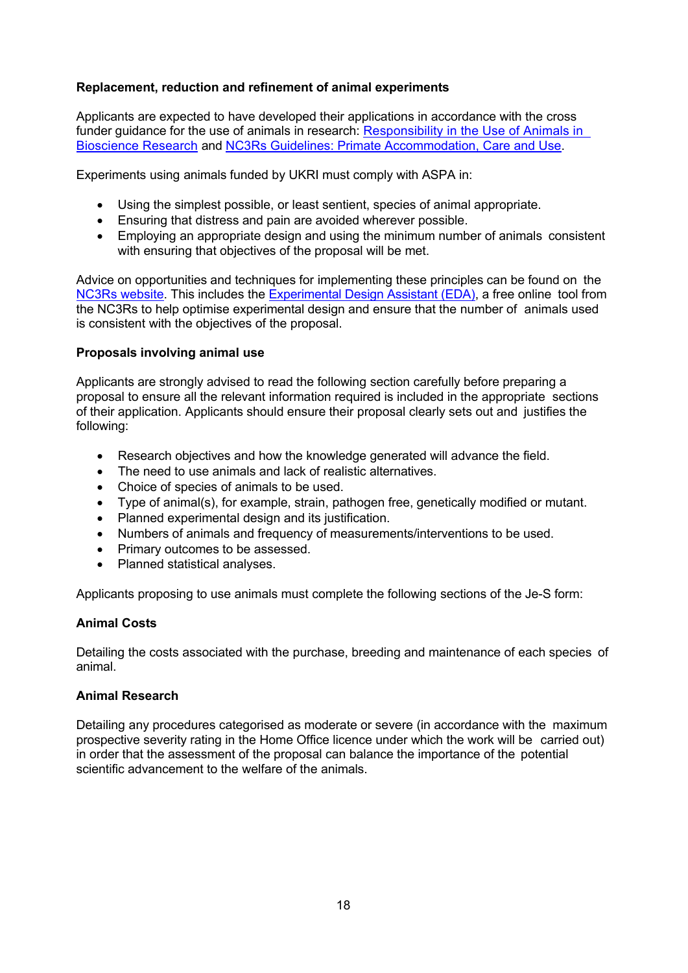### **Replacement, reduction and refinement of animal experiments**

Applicants are expected to have developed their applications in accordance with the cross funder guidance for the use of animals in researc[h:](https://www.nc3rs.org.uk/sites/default/files/Responsibility%20in%20the%20use%20of%20animals%20in%20bioscience%20research%20-%20July%202015.pdf) [Responsibility in the Use of Animals in](https://www.nc3rs.org.uk/sites/default/files/Responsibility%20in%20the%20use%20of%20animals%20in%20bioscience%20research%20-%20July%202015.pdf)  [Bioscience Research](https://www.nc3rs.org.uk/sites/default/files/Responsibility%20in%20the%20use%20of%20animals%20in%20bioscience%20research%20-%20July%202015.pdf) [an](https://www.nc3rs.org.uk/sites/default/files/Responsibility%20in%20the%20use%20of%20animals%20in%20bioscience%20research%20-%20July%202015.pdf)[d](https://www.nc3rs.org.uk/non-human-primate-accommodation-care-and-use) [NC3Rs Guidelines: Primate Accommodation, Care and Use.](https://www.nc3rs.org.uk/non-human-primate-accommodation-care-and-use)

Experiments using animals funded by UKRI must comply with ASPA in:

- Using the simplest possible, or least sentient, species of animal appropriate.
- Ensuring that distress and pain are avoided wherever possible.
- Employing an appropriate design and using the minimum number of animals consistent with ensuring that objectives of the proposal will be met.

Advice on opportunities and techniques for implementing these principles can be found on the [NC3Rs website.](https://www.nc3rs.org.uk/) This includes t[he](https://www.nc3rs.org.uk/experimental-design-assistant-eda) [Experimental Design Assistant \(EDA\),](https://www.nc3rs.org.uk/experimental-design-assistant-eda) a free online tool from the NC3Rs to help optimise experimental design and ensure that the number of animals used is consistent with the objectives of the proposal.

#### **Proposals involving animal use**

Applicants are strongly advised to read the following section carefully before preparing a proposal to ensure all the relevant information required is included in the appropriate sections of their application. Applicants should ensure their proposal clearly sets out and justifies the following:

- Research objectives and how the knowledge generated will advance the field.
- The need to use animals and lack of realistic alternatives.
- Choice of species of animals to be used.
- Type of animal(s), for example, strain, pathogen free, genetically modified or mutant.
- Planned experimental design and its justification.
- Numbers of animals and frequency of measurements/interventions to be used.
- Primary outcomes to be assessed.
- Planned statistical analyses.

Applicants proposing to use animals must complete the following sections of the Je-S form:

### **Animal Costs**

Detailing the costs associated with the purchase, breeding and maintenance of each species of animal.

### **Animal Research**

Detailing any procedures categorised as moderate or severe (in accordance with the maximum prospective severity rating in the Home Office licence under which the work will be carried out) in order that the assessment of the proposal can balance the importance of the potential scientific advancement to the welfare of the animals.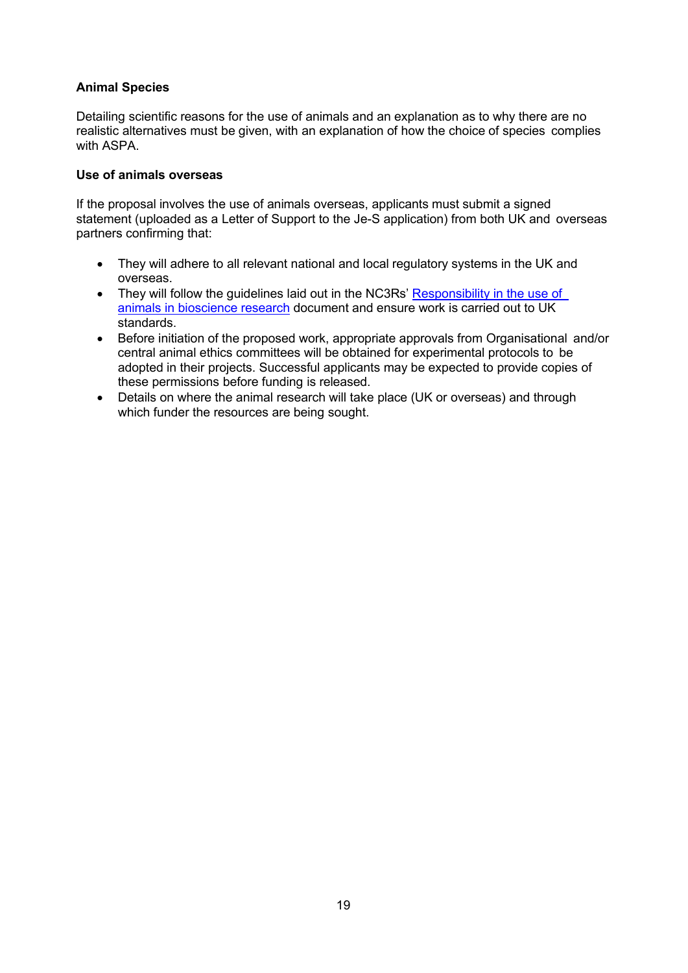### **Animal Species**

Detailing scientific reasons for the use of animals and an explanation as to why there are no realistic alternatives must be given, with an explanation of how the choice of species complies with ASPA.

### **Use of animals overseas**

If the proposal involves the use of animals overseas, applicants must submit a signed statement (uploaded as a Letter of Support to the Je-S application) from both UK and overseas partners confirming that:

- They will adhere to all relevant national and local regulatory systems in the UK and overseas.
- They will follow the guidelines laid out in the NC3Rs' [Responsibility](https://www.nc3rs.org.uk/sites/default/files/Responsibility%20in%20the%20use%20of%20animals%20in%20bioscience%20research%20-%20July%202015.pdf) in the use of animals in [bioscience](https://www.nc3rs.org.uk/sites/default/files/Responsibility%20in%20the%20use%20of%20animals%20in%20bioscience%20research%20-%20July%202015.pdf) research document and ensure work is carried out to UK standards.
- Before initiation of the proposed work, appropriate approvals from Organisational and/or central animal ethics committees will be obtained for experimental protocols to be adopted in their projects. Successful applicants may be expected to provide copies of these permissions before funding is released.
- Details on where the animal research will take place (UK or overseas) and through which funder the resources are being sought.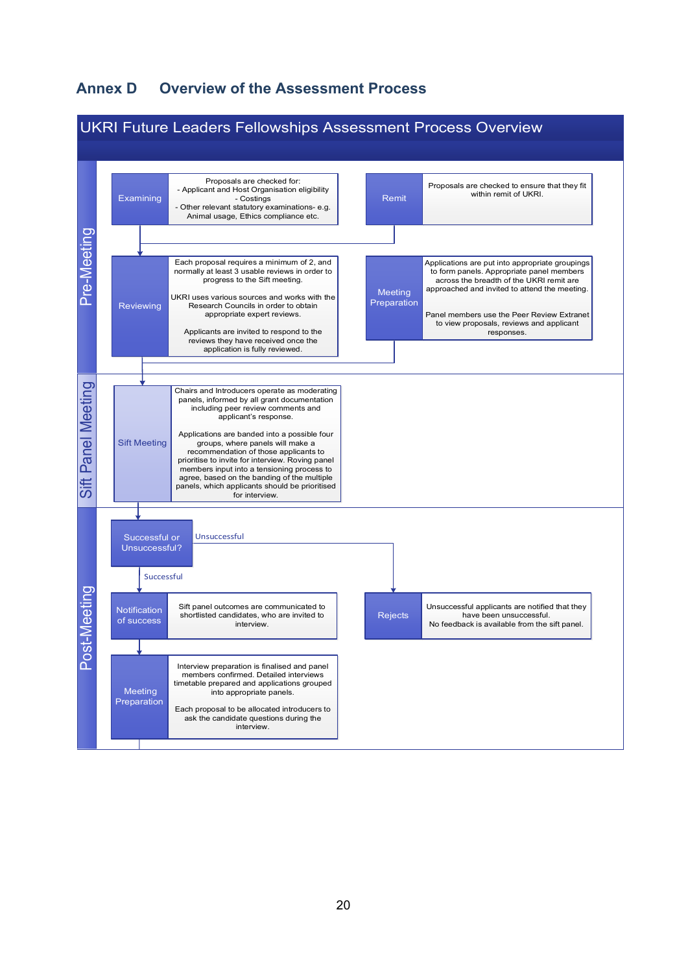# <span id="page-19-0"></span>**Annex D Overview of the Assessment Process**

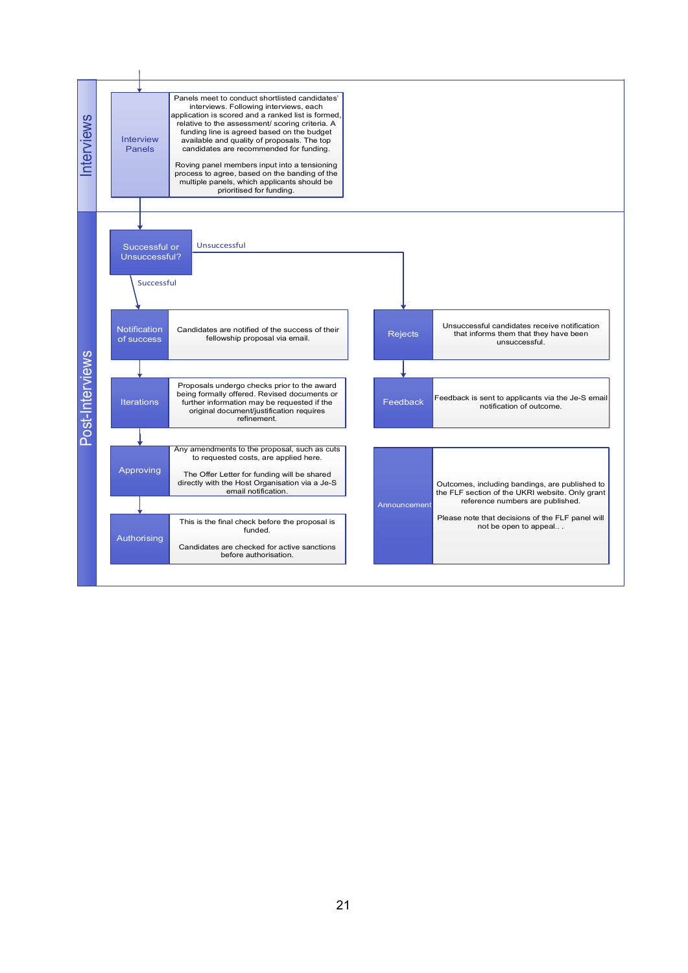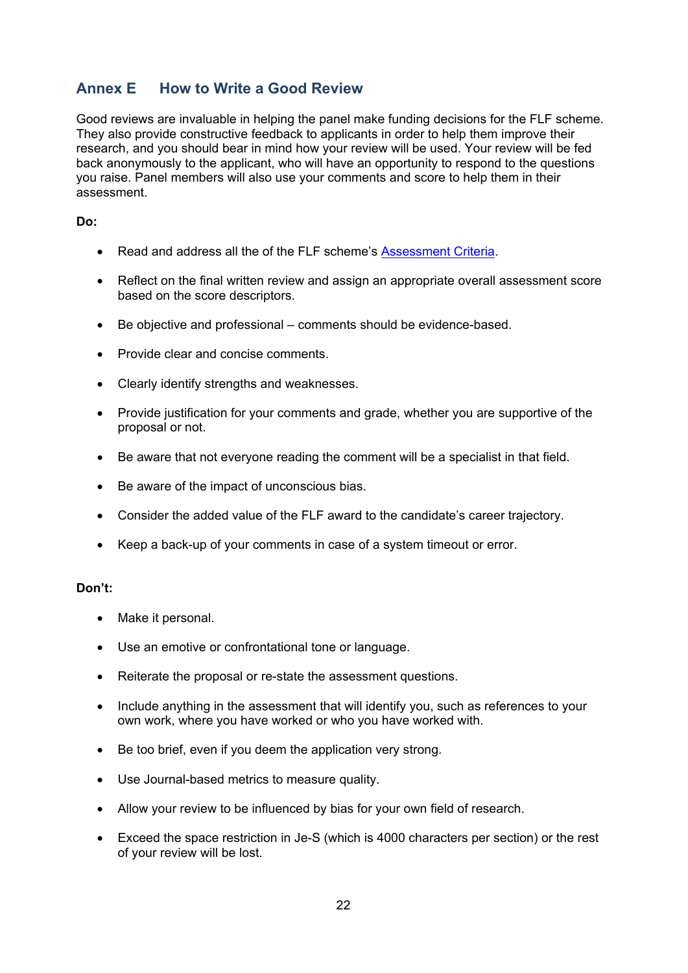# <span id="page-21-0"></span>**Annex E How to Write a Good Review**

Good reviews are invaluable in helping the panel make funding decisions for the FLF scheme. They also provide constructive feedback to applicants in order to help them improve their research, and you should bear in mind how your review will be used. Your review will be fed back anonymously to the applicant, who will have an opportunity to respond to the questions you raise. Panel members will also use your comments and score to help them in their assessment.

### **Do:**

- Read and address all the of the FLF scheme's [Assessment Criteria.](#page-13-0)
- Reflect on the final written review and assign an appropriate overall assessment score based on the score descriptors.
- Be objective and professional comments should be evidence-based.
- Provide clear and concise comments.
- Clearly identify strengths and weaknesses.
- Provide justification for your comments and grade, whether you are supportive of the proposal or not.
- Be aware that not everyone reading the comment will be a specialist in that field.
- Be aware of the impact of unconscious bias.
- Consider the added value of the FLF award to the candidate's career trajectory.
- Keep a back-up of your comments in case of a system timeout or error.

#### **Don't:**

- Make it personal.
- Use an emotive or confrontational tone or language.
- Reiterate the proposal or re-state the assessment questions.
- Include anything in the assessment that will identify you, such as references to your own work, where you have worked or who you have worked with.
- Be too brief, even if you deem the application very strong.
- Use Journal-based metrics to measure quality.
- Allow your review to be influenced by bias for your own field of research.
- Exceed the space restriction in Je-S (which is 4000 characters per section) or the rest of your review will be lost.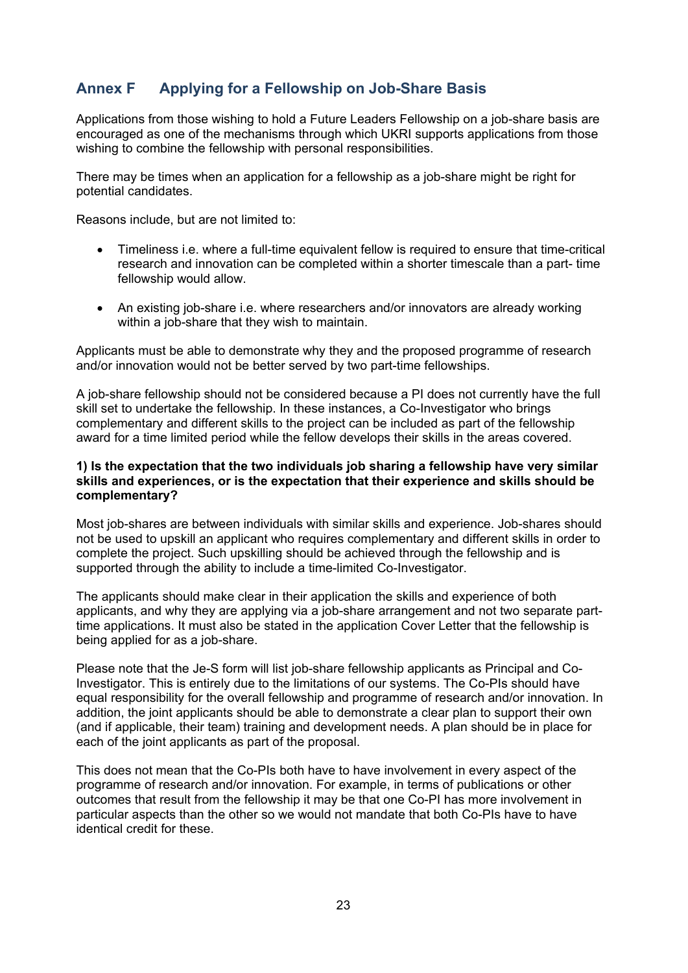# <span id="page-22-0"></span>**Annex F Applying for a Fellowship on Job-Share Basis**

Applications from those wishing to hold a Future Leaders Fellowship on a job-share basis are encouraged as one of the mechanisms through which UKRI supports applications from those wishing to combine the fellowship with personal responsibilities.

There may be times when an application for a fellowship as a job-share might be right for potential candidates.

Reasons include, but are not limited to:

- Timeliness i.e. where a full-time equivalent fellow is required to ensure that time-critical research and innovation can be completed within a shorter timescale than a part- time fellowship would allow.
- An existing job-share i.e. where researchers and/or innovators are already working within a job-share that they wish to maintain.

Applicants must be able to demonstrate why they and the proposed programme of research and/or innovation would not be better served by two part-time fellowships.

A job-share fellowship should not be considered because a PI does not currently have the full skill set to undertake the fellowship. In these instances, a Co-Investigator who brings complementary and different skills to the project can be included as part of the fellowship award for a time limited period while the fellow develops their skills in the areas covered.

#### **1) Is the expectation that the two individuals job sharing a fellowship have very similar skills and experiences, or is the expectation that their experience and skills should be complementary?**

Most job-shares are between individuals with similar skills and experience. Job-shares should not be used to upskill an applicant who requires complementary and different skills in order to complete the project. Such upskilling should be achieved through the fellowship and is supported through the ability to include a time-limited Co-Investigator.

The applicants should make clear in their application the skills and experience of both applicants, and why they are applying via a job-share arrangement and not two separate parttime applications. It must also be stated in the application Cover Letter that the fellowship is being applied for as a job-share.

Please note that the Je-S form will list job-share fellowship applicants as Principal and Co-Investigator. This is entirely due to the limitations of our systems. The Co-PIs should have equal responsibility for the overall fellowship and programme of research and/or innovation. In addition, the joint applicants should be able to demonstrate a clear plan to support their own (and if applicable, their team) training and development needs. A plan should be in place for each of the joint applicants as part of the proposal.

This does not mean that the Co-PIs both have to have involvement in every aspect of the programme of research and/or innovation. For example, in terms of publications or other outcomes that result from the fellowship it may be that one Co-PI has more involvement in particular aspects than the other so we would not mandate that both Co-PIs have to have identical credit for these.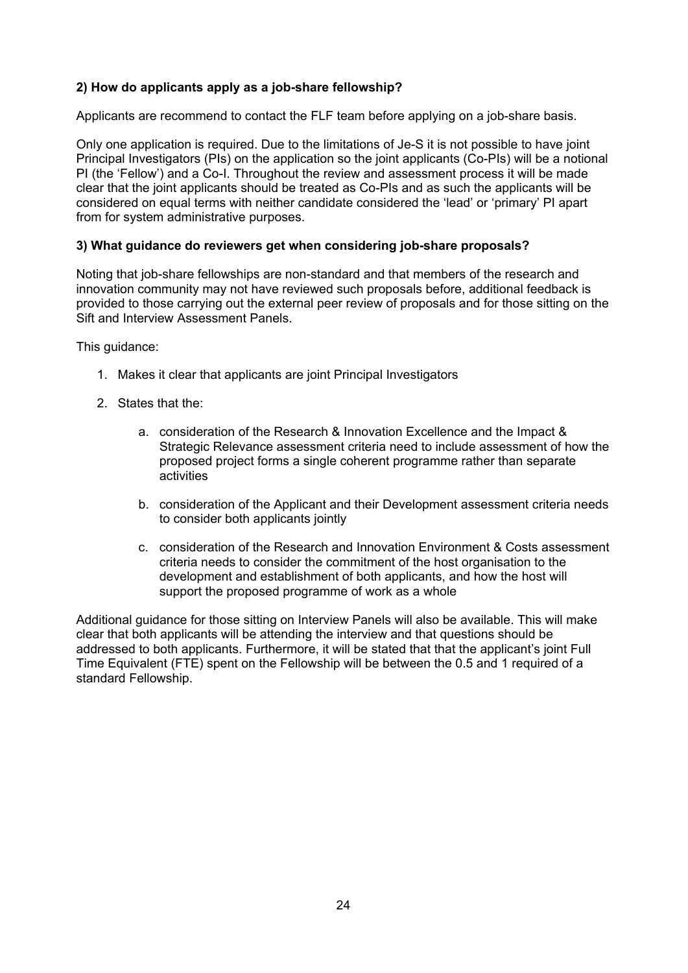### **2) How do applicants apply as a job-share fellowship?**

Applicants are recommend to contact the FLF team before applying on a job-share basis.

Only one application is required. Due to the limitations of Je-S it is not possible to have joint Principal Investigators (PIs) on the application so the joint applicants (Co-PIs) will be a notional PI (the 'Fellow') and a Co-I. Throughout the review and assessment process it will be made clear that the joint applicants should be treated as Co-PIs and as such the applicants will be considered on equal terms with neither candidate considered the 'lead' or 'primary' PI apart from for system administrative purposes.

### **3) What guidance do reviewers get when considering job-share proposals?**

Noting that job-share fellowships are non-standard and that members of the research and innovation community may not have reviewed such proposals before, additional feedback is provided to those carrying out the external peer review of proposals and for those sitting on the Sift and Interview Assessment Panels.

This guidance:

- 1. Makes it clear that applicants are joint Principal Investigators
- 2. States that the:
	- a. consideration of the Research & Innovation Excellence and the Impact & Strategic Relevance assessment criteria need to include assessment of how the proposed project forms a single coherent programme rather than separate **activities**
	- b. consideration of the Applicant and their Development assessment criteria needs to consider both applicants jointly
	- c. consideration of the Research and Innovation Environment & Costs assessment criteria needs to consider the commitment of the host organisation to the development and establishment of both applicants, and how the host will support the proposed programme of work as a whole

Additional guidance for those sitting on Interview Panels will also be available. This will make clear that both applicants will be attending the interview and that questions should be addressed to both applicants. Furthermore, it will be stated that that the applicant's joint Full Time Equivalent (FTE) spent on the Fellowship will be between the 0.5 and 1 required of a standard Fellowship.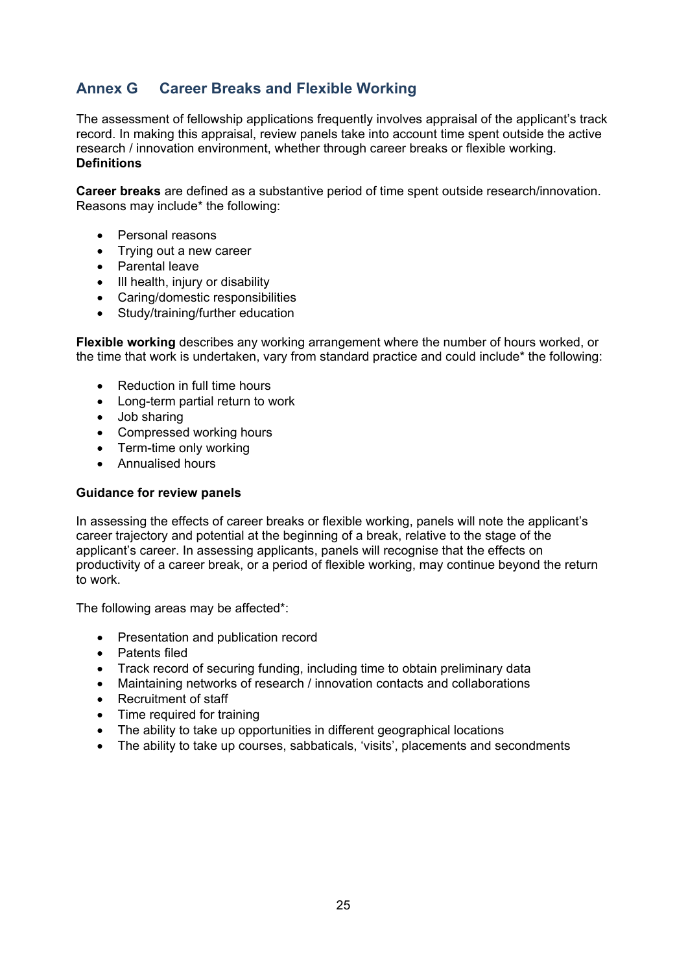# <span id="page-24-0"></span>**Annex G Career Breaks and Flexible Working**

The assessment of fellowship applications frequently involves appraisal of the applicant's track record. In making this appraisal, review panels take into account time spent outside the active research / innovation environment, whether through career breaks or flexible working. **Definitions**

**Career breaks** are defined as a substantive period of time spent outside research/innovation. Reasons may include\* the following:

- Personal reasons
- Trying out a new career
- Parental leave
- III health, injury or disability
- Caring/domestic responsibilities
- Study/training/further education

**Flexible working** describes any working arrangement where the number of hours worked, or the time that work is undertaken, vary from standard practice and could include\* the following:

- Reduction in full time hours
- Long-term partial return to work
- Job sharing
- Compressed working hours
- Term-time only working
- Annualised hours

#### **Guidance for review panels**

In assessing the effects of career breaks or flexible working, panels will note the applicant's career trajectory and potential at the beginning of a break, relative to the stage of the applicant's career. In assessing applicants, panels will recognise that the effects on productivity of a career break, or a period of flexible working, may continue beyond the return to work.

The following areas may be affected\*:

- Presentation and publication record
- Patents filed
- Track record of securing funding, including time to obtain preliminary data
- Maintaining networks of research / innovation contacts and collaborations
- Recruitment of staff
- Time required for training
- The ability to take up opportunities in different geographical locations
- The ability to take up courses, sabbaticals, 'visits', placements and secondments